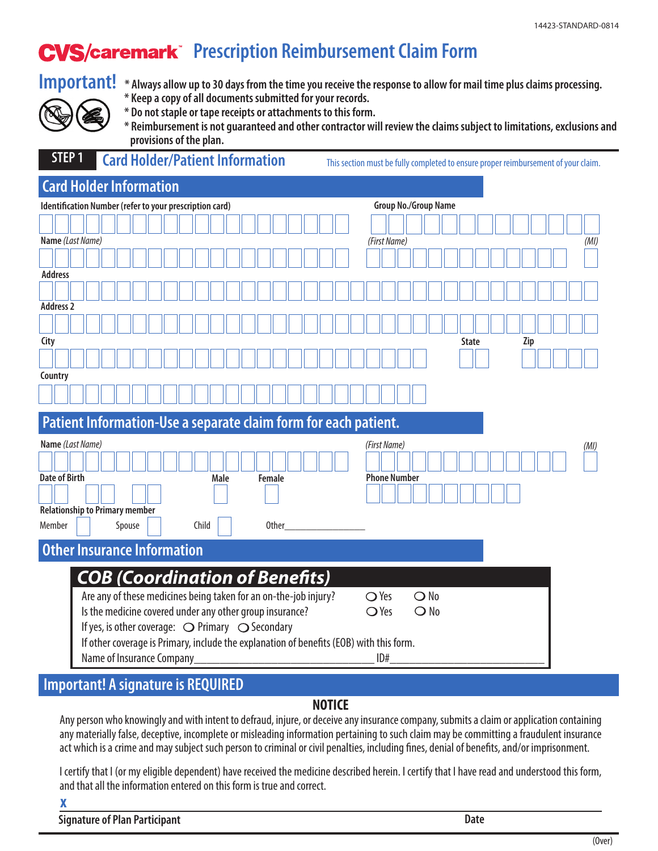## **CVS/caremark** Prescription Reimbursement Claim Form



- **Important!** \* Always allow up to 30 days from the time you receive the response to allow for mail time plus claims processing.
	- **\* Keep a copy of all documents submitted for your records.**
	- **\* Do not staple or tape receipts or attachments to this form.**
	- **\* Reimbursement is not guaranteed and other contractor will review the claims subject to limitations, exclusions and provisions of the plan.**

|                                                                                   |                                | <b>STEP 1</b> |                                                                                                                                                                                                                                                                                               | <b>Card Holder/Patient Information</b> |        |  |  |  |  |  |  |       |                      |  |      |  |  |  | This section must be fully completed to ensure proper reimbursement of your claim. |  |  |  |  |  |  |  |  |  |                                     |  |              |  |  |  |                                |  |  |  |  |              |  |  |  |     |  |  |  |  |      |      |  |
|-----------------------------------------------------------------------------------|--------------------------------|---------------|-----------------------------------------------------------------------------------------------------------------------------------------------------------------------------------------------------------------------------------------------------------------------------------------------|----------------------------------------|--------|--|--|--|--|--|--|-------|----------------------|--|------|--|--|--|------------------------------------------------------------------------------------|--|--|--|--|--|--|--|--|--|-------------------------------------|--|--------------|--|--|--|--------------------------------|--|--|--|--|--------------|--|--|--|-----|--|--|--|--|------|------|--|
|                                                                                   | <b>Card Holder Information</b> |               |                                                                                                                                                                                                                                                                                               |                                        |        |  |  |  |  |  |  |       |                      |  |      |  |  |  |                                                                                    |  |  |  |  |  |  |  |  |  |                                     |  |              |  |  |  |                                |  |  |  |  |              |  |  |  |     |  |  |  |  |      |      |  |
| Identification Number (refer to your prescription card)                           |                                |               |                                                                                                                                                                                                                                                                                               |                                        |        |  |  |  |  |  |  |       | Group No./Group Name |  |      |  |  |  |                                                                                    |  |  |  |  |  |  |  |  |  |                                     |  |              |  |  |  |                                |  |  |  |  |              |  |  |  |     |  |  |  |  |      |      |  |
|                                                                                   |                                |               |                                                                                                                                                                                                                                                                                               |                                        |        |  |  |  |  |  |  |       |                      |  |      |  |  |  |                                                                                    |  |  |  |  |  |  |  |  |  |                                     |  |              |  |  |  |                                |  |  |  |  |              |  |  |  |     |  |  |  |  |      |      |  |
|                                                                                   |                                |               | Name (Last Name)                                                                                                                                                                                                                                                                              |                                        |        |  |  |  |  |  |  |       |                      |  |      |  |  |  |                                                                                    |  |  |  |  |  |  |  |  |  |                                     |  | (First Name) |  |  |  |                                |  |  |  |  |              |  |  |  |     |  |  |  |  |      | (MI) |  |
|                                                                                   |                                |               |                                                                                                                                                                                                                                                                                               |                                        |        |  |  |  |  |  |  |       |                      |  |      |  |  |  |                                                                                    |  |  |  |  |  |  |  |  |  |                                     |  |              |  |  |  |                                |  |  |  |  |              |  |  |  |     |  |  |  |  |      |      |  |
| <b>Address</b>                                                                    |                                |               |                                                                                                                                                                                                                                                                                               |                                        |        |  |  |  |  |  |  |       |                      |  |      |  |  |  |                                                                                    |  |  |  |  |  |  |  |  |  |                                     |  |              |  |  |  |                                |  |  |  |  |              |  |  |  |     |  |  |  |  |      |      |  |
|                                                                                   |                                |               |                                                                                                                                                                                                                                                                                               |                                        |        |  |  |  |  |  |  |       |                      |  |      |  |  |  |                                                                                    |  |  |  |  |  |  |  |  |  |                                     |  |              |  |  |  |                                |  |  |  |  |              |  |  |  |     |  |  |  |  |      |      |  |
| <b>Address 2</b>                                                                  |                                |               |                                                                                                                                                                                                                                                                                               |                                        |        |  |  |  |  |  |  |       |                      |  |      |  |  |  |                                                                                    |  |  |  |  |  |  |  |  |  |                                     |  |              |  |  |  |                                |  |  |  |  |              |  |  |  |     |  |  |  |  |      |      |  |
|                                                                                   |                                |               |                                                                                                                                                                                                                                                                                               |                                        |        |  |  |  |  |  |  |       |                      |  |      |  |  |  |                                                                                    |  |  |  |  |  |  |  |  |  |                                     |  |              |  |  |  |                                |  |  |  |  |              |  |  |  |     |  |  |  |  |      |      |  |
| City                                                                              |                                |               |                                                                                                                                                                                                                                                                                               |                                        |        |  |  |  |  |  |  |       |                      |  |      |  |  |  |                                                                                    |  |  |  |  |  |  |  |  |  |                                     |  |              |  |  |  |                                |  |  |  |  | <b>State</b> |  |  |  | Zip |  |  |  |  |      |      |  |
|                                                                                   |                                |               |                                                                                                                                                                                                                                                                                               |                                        |        |  |  |  |  |  |  |       |                      |  |      |  |  |  |                                                                                    |  |  |  |  |  |  |  |  |  |                                     |  |              |  |  |  |                                |  |  |  |  |              |  |  |  |     |  |  |  |  |      |      |  |
| Country                                                                           |                                |               |                                                                                                                                                                                                                                                                                               |                                        |        |  |  |  |  |  |  |       |                      |  |      |  |  |  |                                                                                    |  |  |  |  |  |  |  |  |  |                                     |  |              |  |  |  |                                |  |  |  |  |              |  |  |  |     |  |  |  |  |      |      |  |
|                                                                                   |                                |               |                                                                                                                                                                                                                                                                                               |                                        |        |  |  |  |  |  |  |       |                      |  |      |  |  |  |                                                                                    |  |  |  |  |  |  |  |  |  |                                     |  |              |  |  |  |                                |  |  |  |  |              |  |  |  |     |  |  |  |  |      |      |  |
|                                                                                   |                                |               | Patient Information-Use a separate claim form for each patient.                                                                                                                                                                                                                               |                                        |        |  |  |  |  |  |  |       |                      |  |      |  |  |  |                                                                                    |  |  |  |  |  |  |  |  |  |                                     |  |              |  |  |  |                                |  |  |  |  |              |  |  |  |     |  |  |  |  |      |      |  |
| Name (Last Name)<br><b>Date of Birth</b><br><b>Relationship to Primary member</b> |                                |               |                                                                                                                                                                                                                                                                                               |                                        |        |  |  |  |  |  |  |       |                      |  | Male |  |  |  | Female                                                                             |  |  |  |  |  |  |  |  |  | (First Name)<br><b>Phone Number</b> |  |              |  |  |  |                                |  |  |  |  |              |  |  |  |     |  |  |  |  | (MI) |      |  |
| Member                                                                            |                                |               |                                                                                                                                                                                                                                                                                               |                                        | Spouse |  |  |  |  |  |  | Child |                      |  |      |  |  |  | <b>Other</b>                                                                       |  |  |  |  |  |  |  |  |  |                                     |  |              |  |  |  |                                |  |  |  |  |              |  |  |  |     |  |  |  |  |      |      |  |
|                                                                                   |                                |               | <b>Other Insurance Information</b>                                                                                                                                                                                                                                                            |                                        |        |  |  |  |  |  |  |       |                      |  |      |  |  |  |                                                                                    |  |  |  |  |  |  |  |  |  |                                     |  |              |  |  |  |                                |  |  |  |  |              |  |  |  |     |  |  |  |  |      |      |  |
|                                                                                   |                                |               | <b>COB (Coordination of Benefits)</b>                                                                                                                                                                                                                                                         |                                        |        |  |  |  |  |  |  |       |                      |  |      |  |  |  |                                                                                    |  |  |  |  |  |  |  |  |  |                                     |  |              |  |  |  |                                |  |  |  |  |              |  |  |  |     |  |  |  |  |      |      |  |
|                                                                                   |                                |               | Are any of these medicines being taken for an on-the-job injury?<br>Is the medicine covered under any other group insurance?<br>If yes, is other coverage: $\bigcirc$ Primary $\bigcirc$ Secondary<br>If other coverage is Primary, include the explanation of benefits (EOB) with this form. |                                        |        |  |  |  |  |  |  |       |                      |  |      |  |  |  |                                                                                    |  |  |  |  |  |  |  |  |  | $\bigcirc$ Yes<br>$\bigcirc$ Yes    |  |              |  |  |  | $\bigcirc$ No<br>$\bigcirc$ No |  |  |  |  |              |  |  |  |     |  |  |  |  |      |      |  |

## **Important! A signature is REQUIRED**

## **NOTICE**

Any person who knowingly and with intent to defraud, injure, or deceive any insurance company, submits a claim or application containing any materially false, deceptive, incomplete or misleading information pertaining to such claim may be committing a fraudulent insurance act which is a crime and may subject such person to criminal or civil penalties, including fines, denial of benefits, and/or imprisonment.

I certify that I (or my eligible dependent) have received the medicine described herein. I certify that I have read and understood this form, and that all the information entered on this form is true and correct.

X

**Signature of Plan Participant Date**